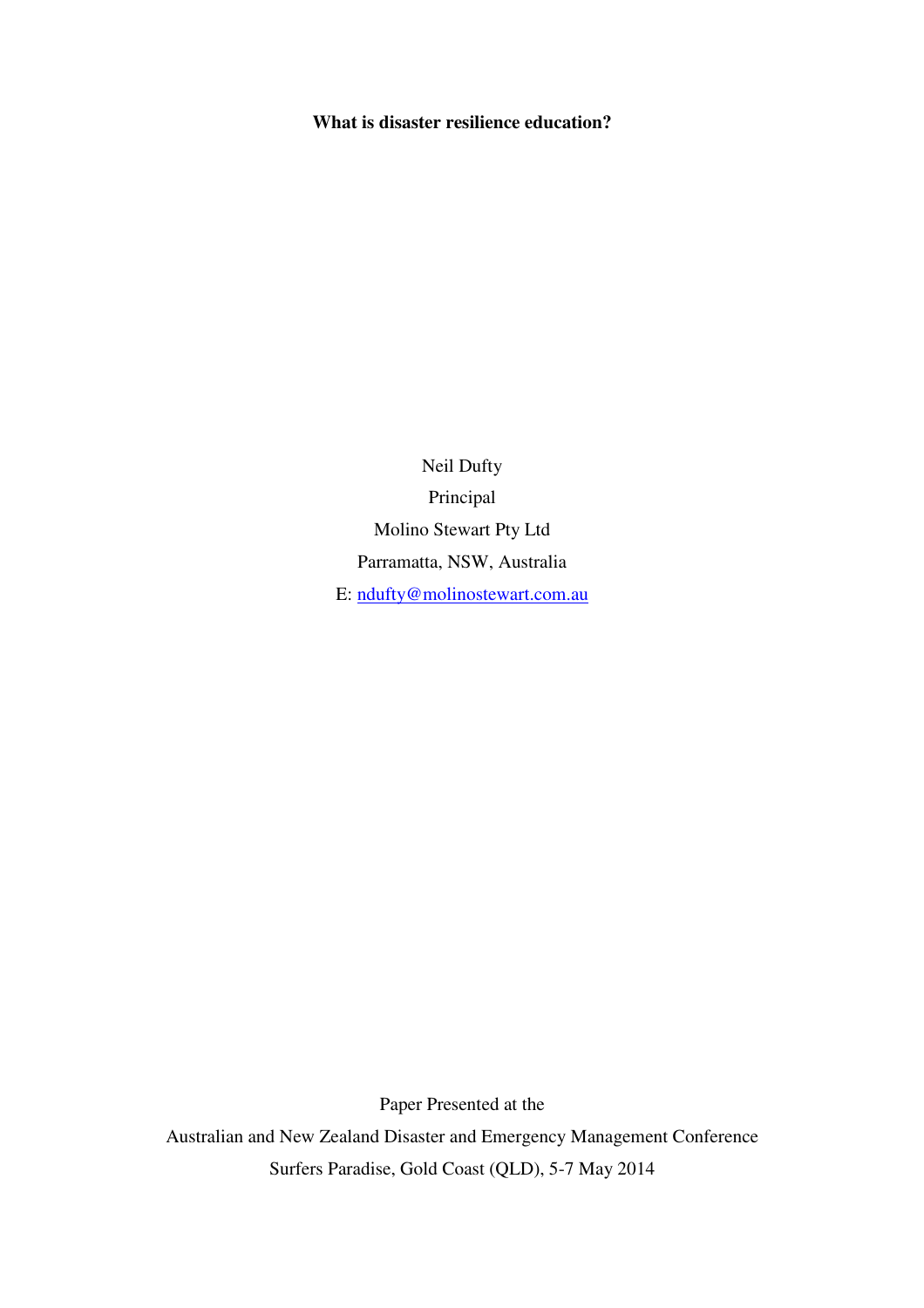# **What is disaster resilience education?**

Neil Dufty Principal Molino Stewart Pty Ltd Parramatta, NSW, Australia E: ndufty@molinostewart.com.au

Paper Presented at the Australian and New Zealand Disaster and Emergency Management Conference Surfers Paradise, Gold Coast (QLD), 5-7 May 2014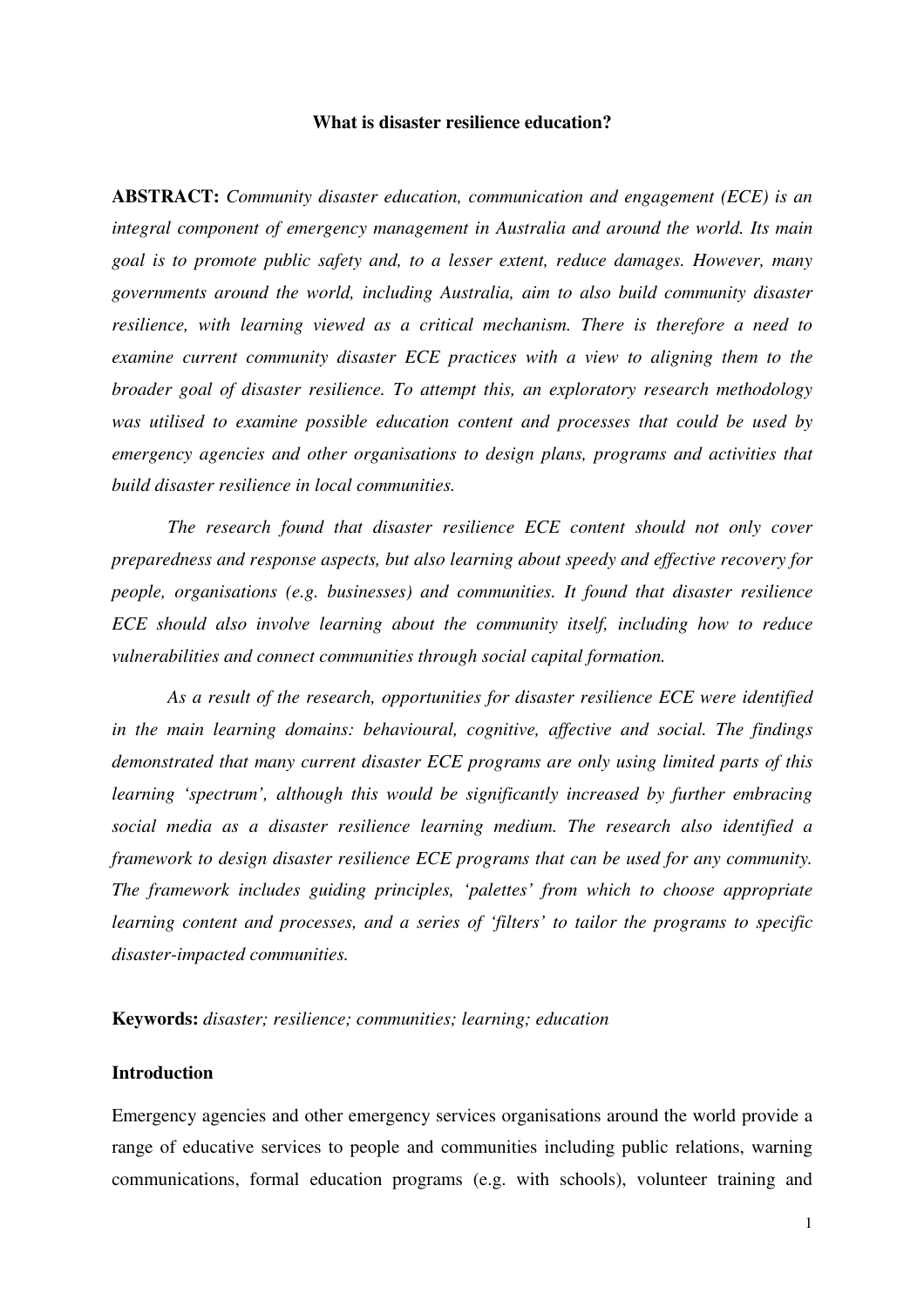#### **What is disaster resilience education?**

**ABSTRACT:** *Community disaster education, communication and engagement (ECE) is an integral component of emergency management in Australia and around the world. Its main goal is to promote public safety and, to a lesser extent, reduce damages. However, many governments around the world, including Australia, aim to also build community disaster resilience, with learning viewed as a critical mechanism. There is therefore a need to examine current community disaster ECE practices with a view to aligning them to the broader goal of disaster resilience. To attempt this, an exploratory research methodology was utilised to examine possible education content and processes that could be used by emergency agencies and other organisations to design plans, programs and activities that build disaster resilience in local communities.* 

*The research found that disaster resilience ECE content should not only cover preparedness and response aspects, but also learning about speedy and effective recovery for people, organisations (e.g. businesses) and communities. It found that disaster resilience ECE should also involve learning about the community itself, including how to reduce vulnerabilities and connect communities through social capital formation.* 

*As a result of the research, opportunities for disaster resilience ECE were identified in the main learning domains: behavioural, cognitive, affective and social. The findings demonstrated that many current disaster ECE programs are only using limited parts of this learning 'spectrum', although this would be significantly increased by further embracing social media as a disaster resilience learning medium. The research also identified a framework to design disaster resilience ECE programs that can be used for any community. The framework includes guiding principles, 'palettes' from which to choose appropriate learning content and processes, and a series of 'filters' to tailor the programs to specific disaster-impacted communities.* 

**Keywords:** *disaster; resilience; communities; learning; education*

#### **Introduction**

Emergency agencies and other emergency services organisations around the world provide a range of educative services to people and communities including public relations, warning communications, formal education programs (e.g. with schools), volunteer training and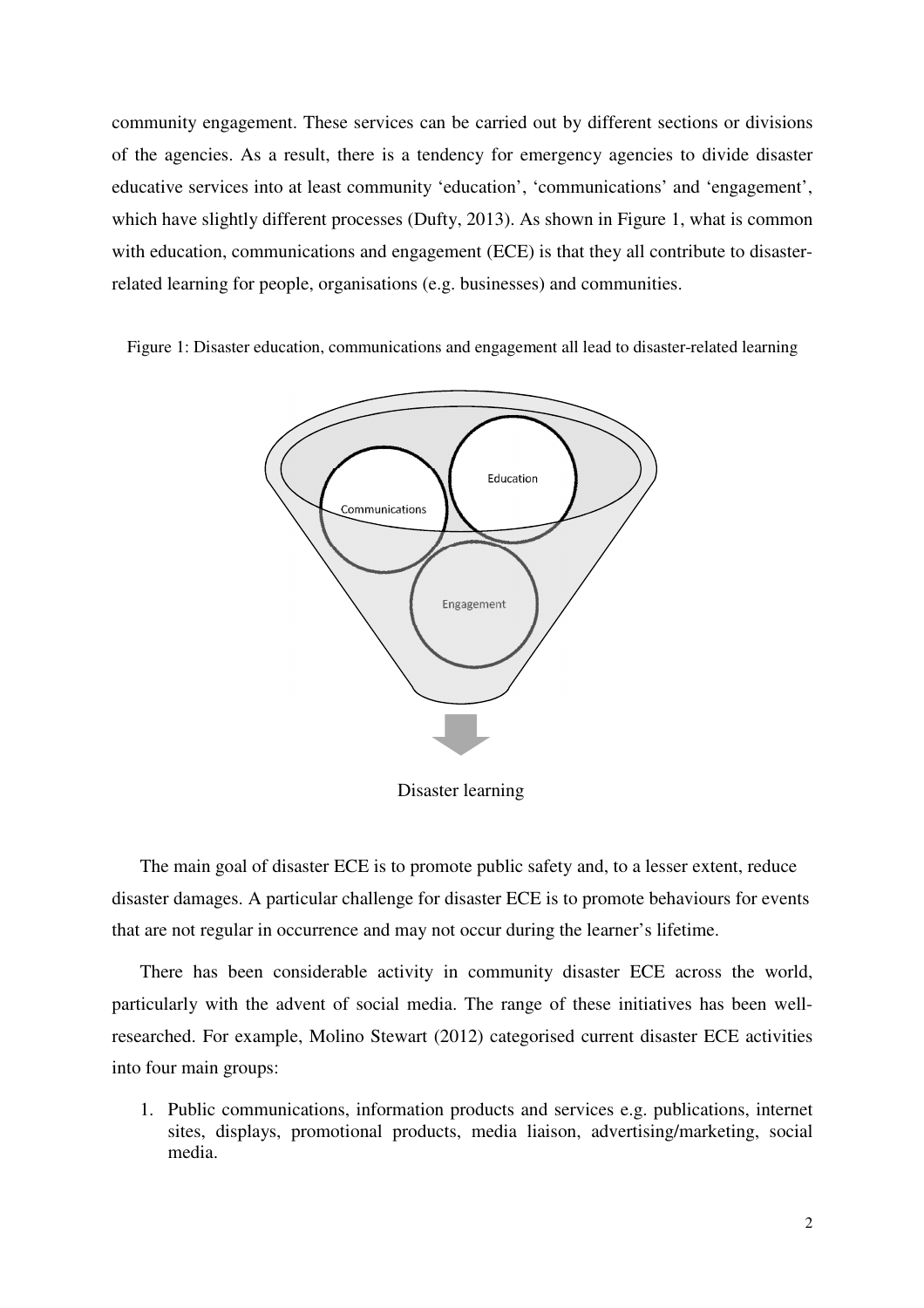community engagement. These services can be carried out by different sections or divisions of the agencies. As a result, there is a tendency for emergency agencies to divide disaster educative services into at least community 'education', 'communications' and 'engagement', which have slightly different processes (Dufty, 2013). As shown in Figure 1, what is common with education, communications and engagement (ECE) is that they all contribute to disasterrelated learning for people, organisations (e.g. businesses) and communities.

Figure 1: Disaster education, communications and engagement all lead to disaster-related learning



The main goal of disaster ECE is to promote public safety and, to a lesser extent, reduce disaster damages. A particular challenge for disaster ECE is to promote behaviours for events that are not regular in occurrence and may not occur during the learner's lifetime.

There has been considerable activity in community disaster ECE across the world, particularly with the advent of social media. The range of these initiatives has been wellresearched. For example, Molino Stewart (2012) categorised current disaster ECE activities into four main groups:

1. Public communications, information products and services e.g. publications, internet sites, displays, promotional products, media liaison, advertising/marketing, social media.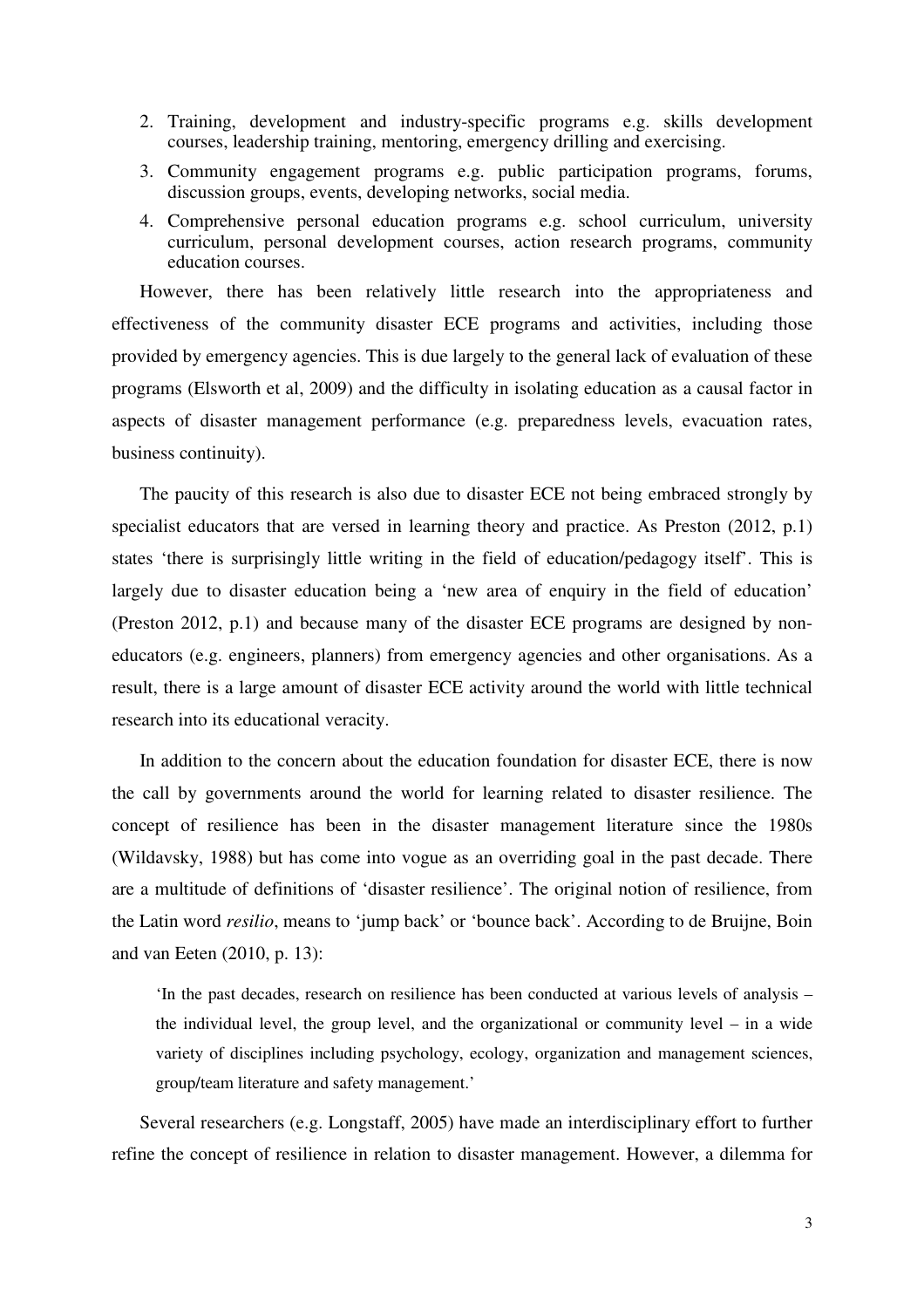- 2. Training, development and industry-specific programs e.g. skills development courses, leadership training, mentoring, emergency drilling and exercising.
- 3. Community engagement programs e.g. public participation programs, forums, discussion groups, events, developing networks, social media.
- 4. Comprehensive personal education programs e.g. school curriculum, university curriculum, personal development courses, action research programs, community education courses.

However, there has been relatively little research into the appropriateness and effectiveness of the community disaster ECE programs and activities, including those provided by emergency agencies. This is due largely to the general lack of evaluation of these programs (Elsworth et al, 2009) and the difficulty in isolating education as a causal factor in aspects of disaster management performance (e.g. preparedness levels, evacuation rates, business continuity).

The paucity of this research is also due to disaster ECE not being embraced strongly by specialist educators that are versed in learning theory and practice. As Preston (2012, p.1) states 'there is surprisingly little writing in the field of education/pedagogy itself'. This is largely due to disaster education being a 'new area of enquiry in the field of education' (Preston 2012, p.1) and because many of the disaster ECE programs are designed by noneducators (e.g. engineers, planners) from emergency agencies and other organisations. As a result, there is a large amount of disaster ECE activity around the world with little technical research into its educational veracity.

In addition to the concern about the education foundation for disaster ECE, there is now the call by governments around the world for learning related to disaster resilience. The concept of resilience has been in the disaster management literature since the 1980s (Wildavsky, 1988) but has come into vogue as an overriding goal in the past decade. There are a multitude of definitions of 'disaster resilience'. The original notion of resilience, from the Latin word *resilio*, means to 'jump back' or 'bounce back'. According to de Bruijne, Boin and van Eeten (2010, p. 13):

'In the past decades, research on resilience has been conducted at various levels of analysis – the individual level, the group level, and the organizational or community level – in a wide variety of disciplines including psychology, ecology, organization and management sciences, group/team literature and safety management.'

Several researchers (e.g. Longstaff, 2005) have made an interdisciplinary effort to further refine the concept of resilience in relation to disaster management. However, a dilemma for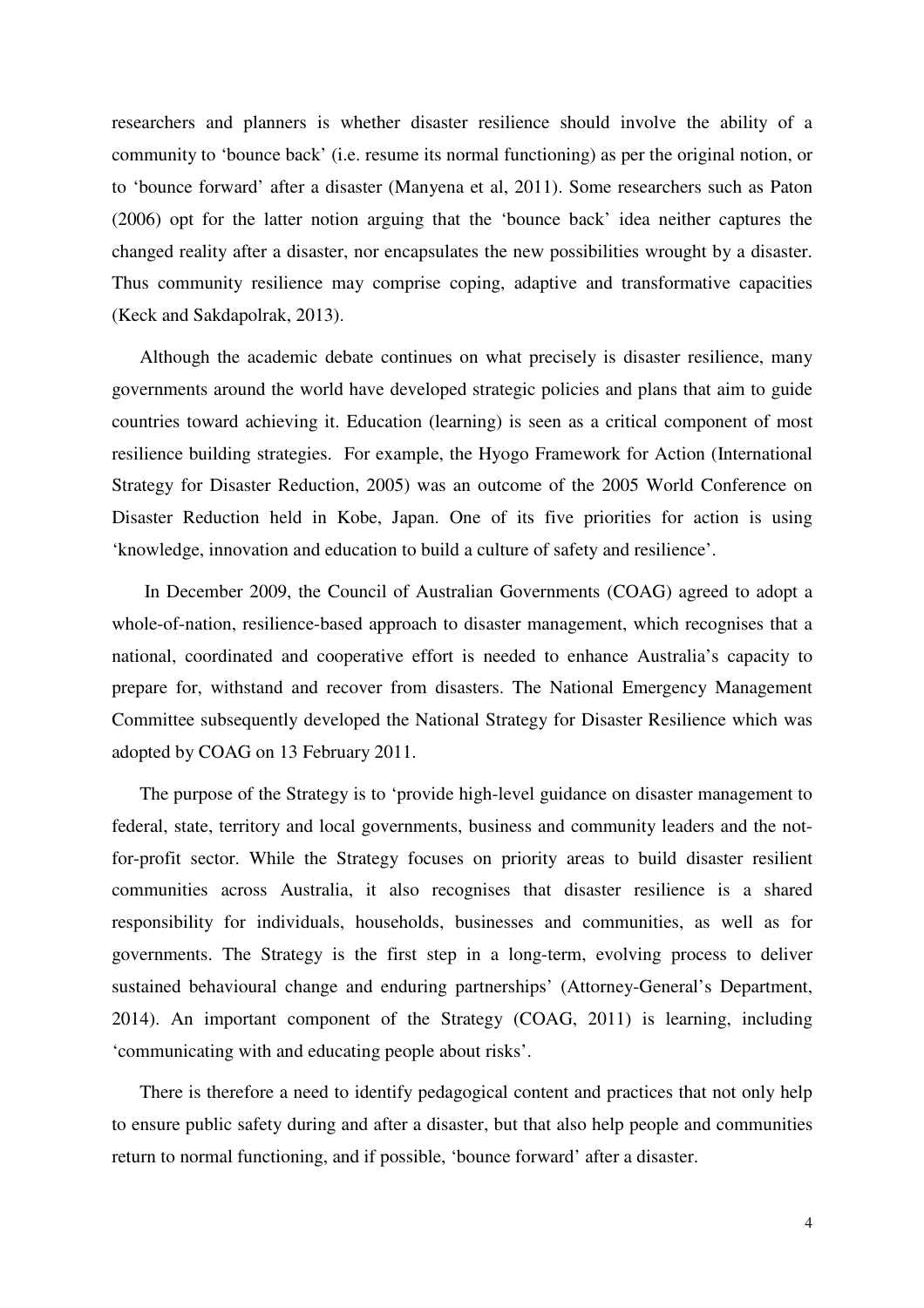researchers and planners is whether disaster resilience should involve the ability of a community to 'bounce back' (i.e. resume its normal functioning) as per the original notion, or to 'bounce forward' after a disaster (Manyena et al, 2011). Some researchers such as Paton (2006) opt for the latter notion arguing that the 'bounce back' idea neither captures the changed reality after a disaster, nor encapsulates the new possibilities wrought by a disaster. Thus community resilience may comprise coping, adaptive and transformative capacities (Keck and Sakdapolrak, 2013).

Although the academic debate continues on what precisely is disaster resilience, many governments around the world have developed strategic policies and plans that aim to guide countries toward achieving it. Education (learning) is seen as a critical component of most resilience building strategies. For example, the Hyogo Framework for Action (International Strategy for Disaster Reduction, 2005) was an outcome of the 2005 World Conference on Disaster Reduction held in Kobe, Japan. One of its five priorities for action is using 'knowledge, innovation and education to build a culture of safety and resilience'.

 In December 2009, the Council of Australian Governments (COAG) agreed to adopt a whole-of-nation, resilience-based approach to disaster management, which recognises that a national, coordinated and cooperative effort is needed to enhance Australia's capacity to prepare for, withstand and recover from disasters. The National Emergency Management Committee subsequently developed the National Strategy for Disaster Resilience which was adopted by COAG on 13 February 2011.

The purpose of the Strategy is to 'provide high-level guidance on disaster management to federal, state, territory and local governments, business and community leaders and the notfor-profit sector. While the Strategy focuses on priority areas to build disaster resilient communities across Australia, it also recognises that disaster resilience is a shared responsibility for individuals, households, businesses and communities, as well as for governments. The Strategy is the first step in a long-term, evolving process to deliver sustained behavioural change and enduring partnerships' (Attorney-General's Department, 2014). An important component of the Strategy (COAG, 2011) is learning, including 'communicating with and educating people about risks'.

There is therefore a need to identify pedagogical content and practices that not only help to ensure public safety during and after a disaster, but that also help people and communities return to normal functioning, and if possible, 'bounce forward' after a disaster.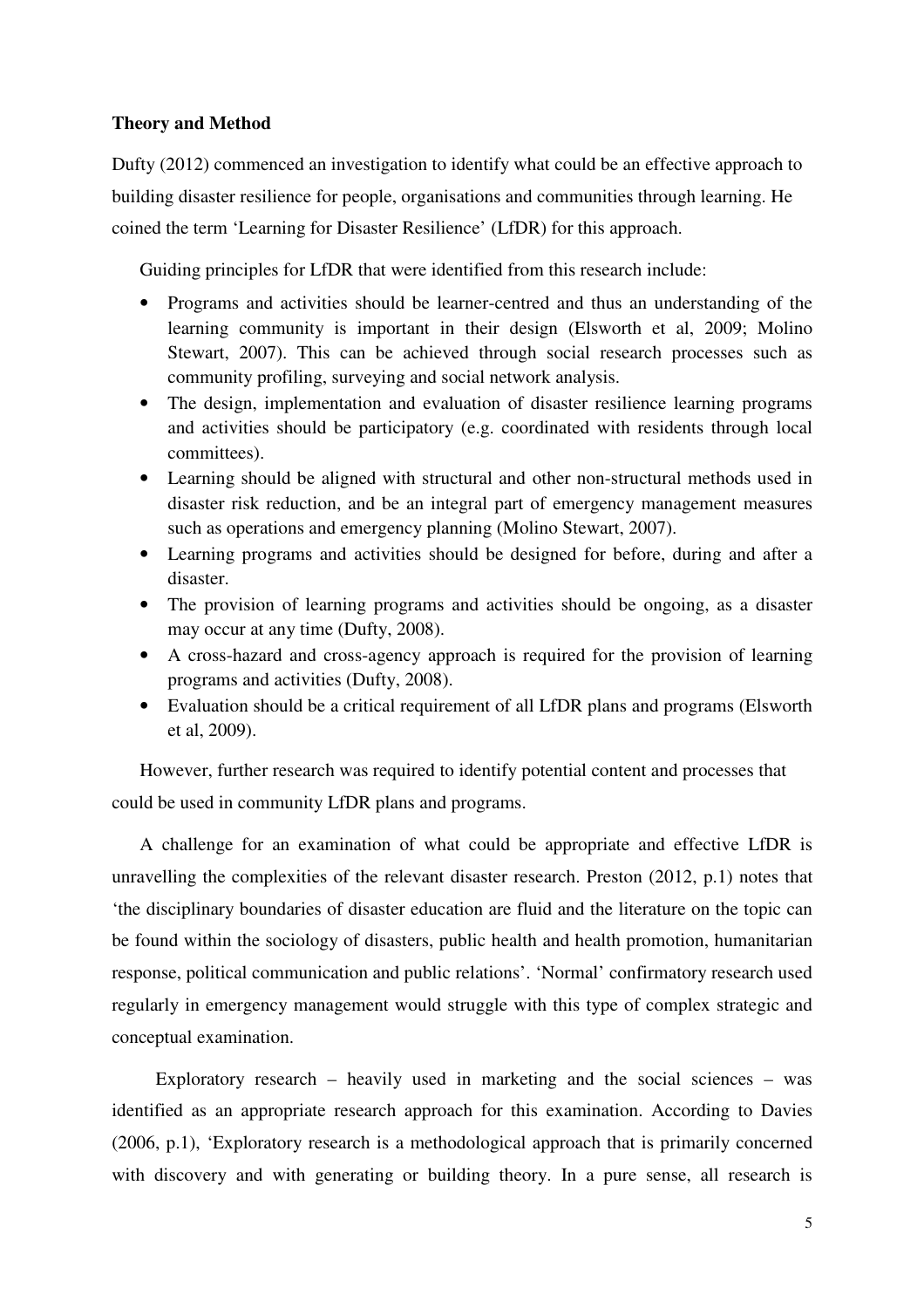## **Theory and Method**

Dufty (2012) commenced an investigation to identify what could be an effective approach to building disaster resilience for people, organisations and communities through learning. He coined the term 'Learning for Disaster Resilience' (LfDR) for this approach.

Guiding principles for LfDR that were identified from this research include:

- Programs and activities should be learner-centred and thus an understanding of the learning community is important in their design (Elsworth et al, 2009; Molino Stewart, 2007). This can be achieved through social research processes such as community profiling, surveying and social network analysis.
- The design, implementation and evaluation of disaster resilience learning programs and activities should be participatory (e.g. coordinated with residents through local committees).
- Learning should be aligned with structural and other non-structural methods used in disaster risk reduction, and be an integral part of emergency management measures such as operations and emergency planning (Molino Stewart, 2007).
- Learning programs and activities should be designed for before, during and after a disaster.
- The provision of learning programs and activities should be ongoing, as a disaster may occur at any time (Dufty, 2008).
- A cross-hazard and cross-agency approach is required for the provision of learning programs and activities (Dufty, 2008).
- Evaluation should be a critical requirement of all LfDR plans and programs (Elsworth et al, 2009).

However, further research was required to identify potential content and processes that could be used in community LfDR plans and programs.

A challenge for an examination of what could be appropriate and effective LfDR is unravelling the complexities of the relevant disaster research. Preston (2012, p.1) notes that 'the disciplinary boundaries of disaster education are fluid and the literature on the topic can be found within the sociology of disasters, public health and health promotion, humanitarian response, political communication and public relations'. 'Normal' confirmatory research used regularly in emergency management would struggle with this type of complex strategic and conceptual examination.

Exploratory research – heavily used in marketing and the social sciences – was identified as an appropriate research approach for this examination. According to Davies (2006, p.1), 'Exploratory research is a methodological approach that is primarily concerned with discovery and with generating or building theory. In a pure sense, all research is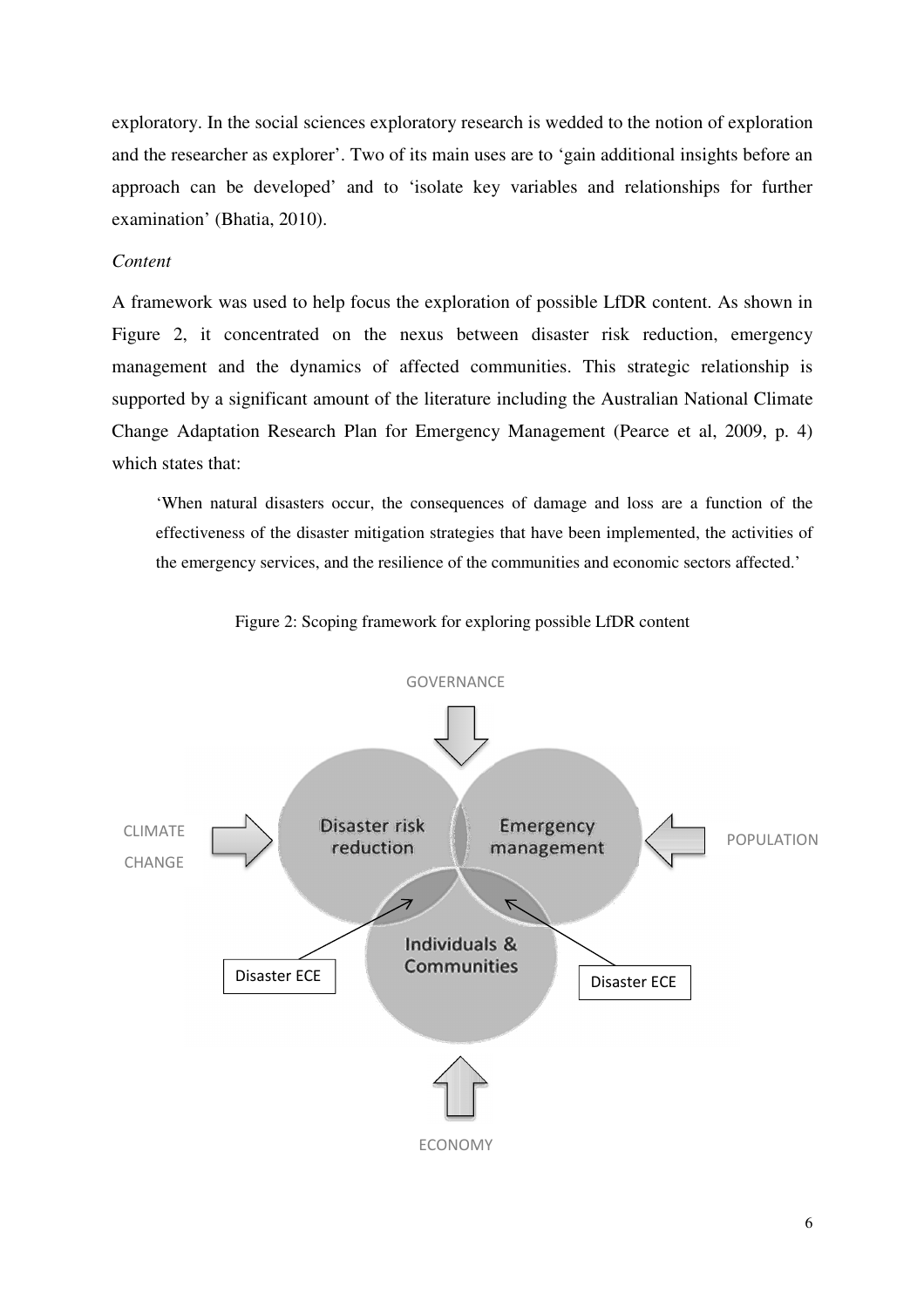exploratory. In the social sciences exploratory research is wedded to the notion of exploration and the researcher as explorer'. Two of its main uses are to 'gain additional insights before an approach can be developed' and to 'isolate key variables and relationships for further examination' (Bhatia, 2010).

#### *Content*

A framework was used to help focus the exploration of possible LfDR content. As shown in Figure 2, it concentrated on the nexus between disaster risk reduction, emergency management and the dynamics of affected communities. This strategic relationship is supported by a significant amount of the literature including the Australian National Climate Change Adaptation Research Plan for Emergency Management (Pearce et al, 2009, p. 4) which states that:

'When natural disasters occur, the consequences of damage and loss are a function of the effectiveness of the disaster mitigation strategies that have been implemented, the activities of the emergency services, and the resilience of the communities and economic sectors affected.'



Figure 2: Scoping framework for exploring possible LfDR content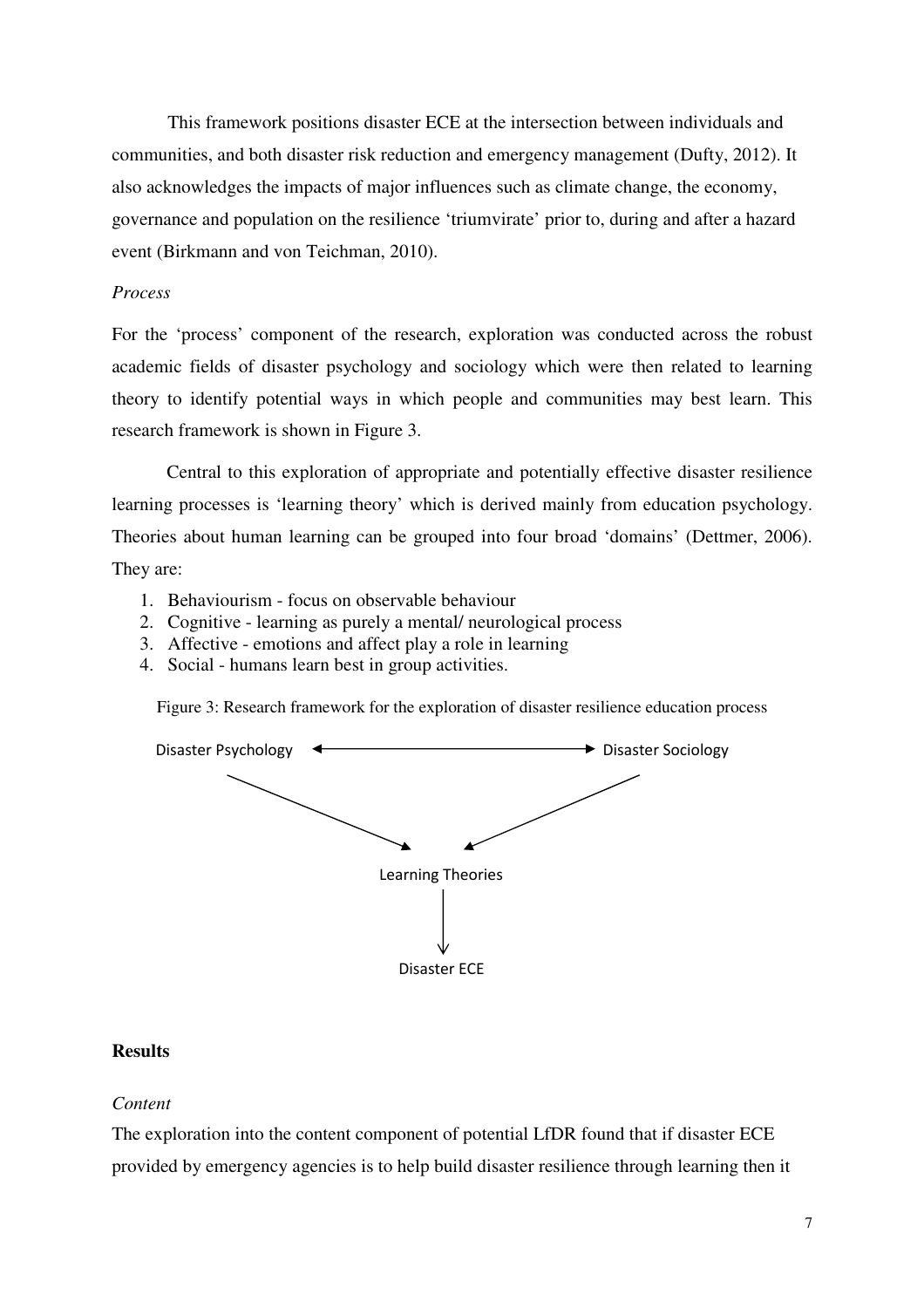This framework positions disaster ECE at the intersection between individuals and communities, and both disaster risk reduction and emergency management (Dufty, 2012). It also acknowledges the impacts of major influences such as climate change, the economy, governance and population on the resilience 'triumvirate' prior to, during and after a hazard event (Birkmann and von Teichman, 2010).

## *Process*

For the 'process' component of the research, exploration was conducted across the robust academic fields of disaster psychology and sociology which were then related to learning theory to identify potential ways in which people and communities may best learn. This research framework is shown in Figure 3.

Central to this exploration of appropriate and potentially effective disaster resilience learning processes is 'learning theory' which is derived mainly from education psychology. Theories about human learning can be grouped into four broad 'domains' (Dettmer, 2006). They are:

- 1. Behaviourism focus on observable behaviour
- 2. Cognitive learning as purely a mental/ neurological process
- 3. Affective emotions and affect play a role in learning
- 4. Social humans learn best in group activities.

Figure 3: Research framework for the exploration of disaster resilience education process



## **Results**

#### *Content*

The exploration into the content component of potential LfDR found that if disaster ECE provided by emergency agencies is to help build disaster resilience through learning then it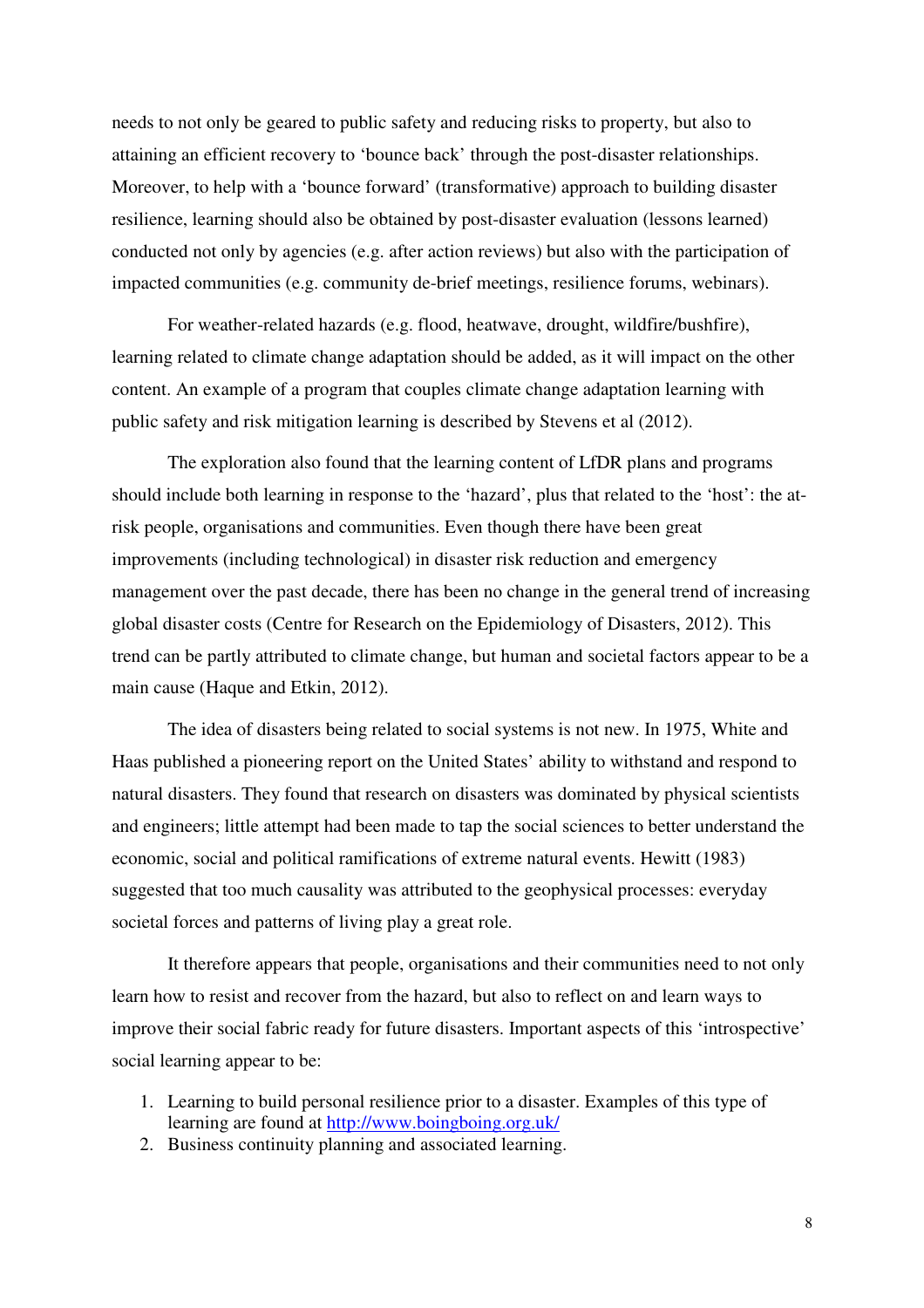needs to not only be geared to public safety and reducing risks to property, but also to attaining an efficient recovery to 'bounce back' through the post-disaster relationships. Moreover, to help with a 'bounce forward' (transformative) approach to building disaster resilience, learning should also be obtained by post-disaster evaluation (lessons learned) conducted not only by agencies (e.g. after action reviews) but also with the participation of impacted communities (e.g. community de-brief meetings, resilience forums, webinars).

For weather-related hazards (e.g. flood, heatwave, drought, wildfire/bushfire), learning related to climate change adaptation should be added, as it will impact on the other content. An example of a program that couples climate change adaptation learning with public safety and risk mitigation learning is described by Stevens et al (2012).

The exploration also found that the learning content of LfDR plans and programs should include both learning in response to the 'hazard', plus that related to the 'host': the atrisk people, organisations and communities. Even though there have been great improvements (including technological) in disaster risk reduction and emergency management over the past decade, there has been no change in the general trend of increasing global disaster costs (Centre for Research on the Epidemiology of Disasters, 2012). This trend can be partly attributed to climate change, but human and societal factors appear to be a main cause (Haque and Etkin, 2012).

The idea of disasters being related to social systems is not new. In 1975, White and Haas published a pioneering report on the United States' ability to withstand and respond to natural disasters. They found that research on disasters was dominated by physical scientists and engineers; little attempt had been made to tap the social sciences to better understand the economic, social and political ramifications of extreme natural events. Hewitt (1983) suggested that too much causality was attributed to the geophysical processes: everyday societal forces and patterns of living play a great role.

It therefore appears that people, organisations and their communities need to not only learn how to resist and recover from the hazard, but also to reflect on and learn ways to improve their social fabric ready for future disasters. Important aspects of this 'introspective' social learning appear to be:

- 1. Learning to build personal resilience prior to a disaster. Examples of this type of learning are found at http://www.boingboing.org.uk/
- 2. Business continuity planning and associated learning.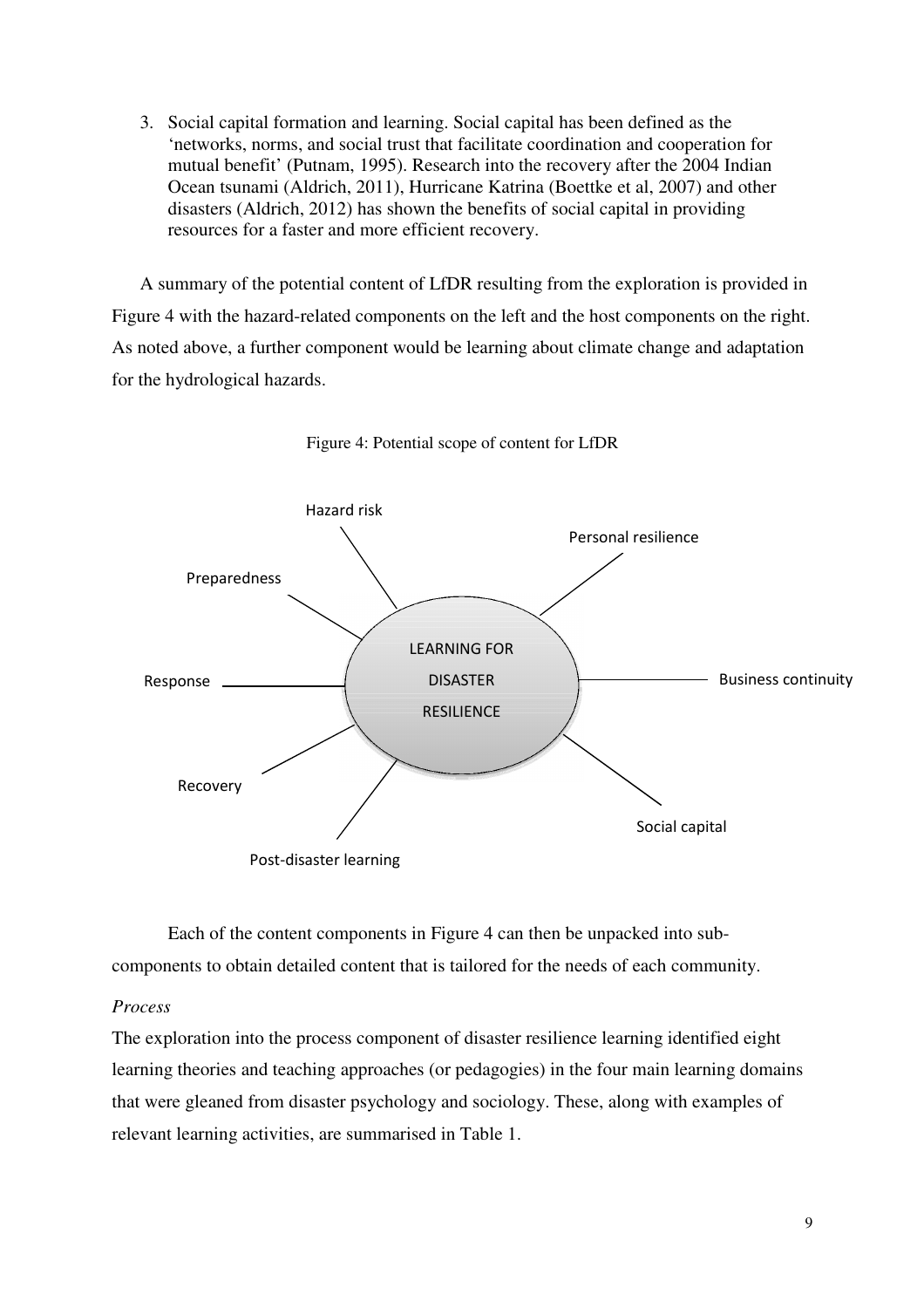3. Social capital formation and learning. Social capital has been defined as the 'networks, norms, and social trust that facilitate coordination and cooperation for mutual benefit' (Putnam, 1995). Research into the recovery after the 2004 Indian Ocean tsunami (Aldrich, 2011), Hurricane Katrina (Boettke et al, 2007) and other disasters (Aldrich, 2012) has shown the benefits of social capital in providing resources for a faster and more efficient recovery.

A summary of the potential content of LfDR resulting from the exploration is provided in Figure 4 with the hazard-related components on the left and the host components on the right. As noted above, a further component would be learning about climate change and adaptation for the hydrological hazards.



Figure 4: Potential scope of content for LfDR

Each of the content components in Figure 4 can then be unpacked into subcomponents to obtain detailed content that is tailored for the needs of each community.

## *Process*

The exploration into the process component of disaster resilience learning identified eight learning theories and teaching approaches (or pedagogies) in the four main learning domains that were gleaned from disaster psychology and sociology. These, along with examples of relevant learning activities, are summarised in Table 1.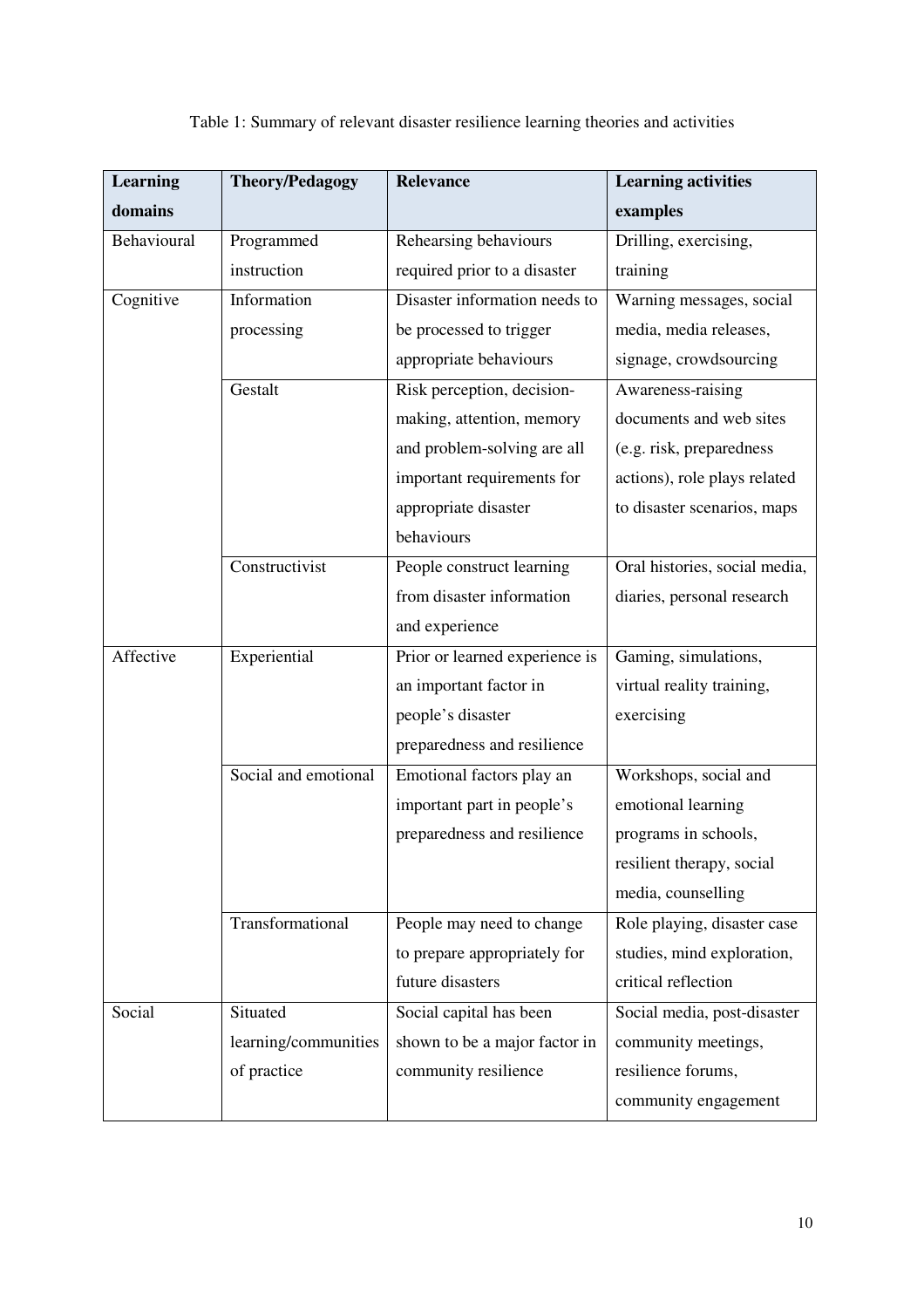#### **Learning domains Theory/Pedagogy** Relevance Learning activities **examples**  Behavioural Programmed instruction Rehearsing behaviours required prior to a disaster Drilling, exercising, training Cognitive Information processing Disaster information needs to be processed to trigger appropriate behaviours Warning messages, social media, media releases, signage, crowdsourcing Gestalt Risk perception, decisionmaking, attention, memory and problem-solving are all important requirements for appropriate disaster behaviours Awareness-raising documents and web sites (e.g. risk, preparedness actions), role plays related to disaster scenarios, maps Constructivist People construct learning from disaster information and experience Oral histories, social media, diaries, personal research Affective Experiential Prior or learned experience is an important factor in people's disaster preparedness and resilience Gaming, simulations, virtual reality training, exercising Social and emotional Emotional factors play an important part in people's preparedness and resilience Workshops, social and emotional learning programs in schools, resilient therapy, social media, counselling Transformational People may need to change to prepare appropriately for future disasters Role playing, disaster case studies, mind exploration, critical reflection Social Situated learning/communities of practice Social capital has been shown to be a major factor in community resilience Social media, post-disaster community meetings, resilience forums, community engagement

## Table 1: Summary of relevant disaster resilience learning theories and activities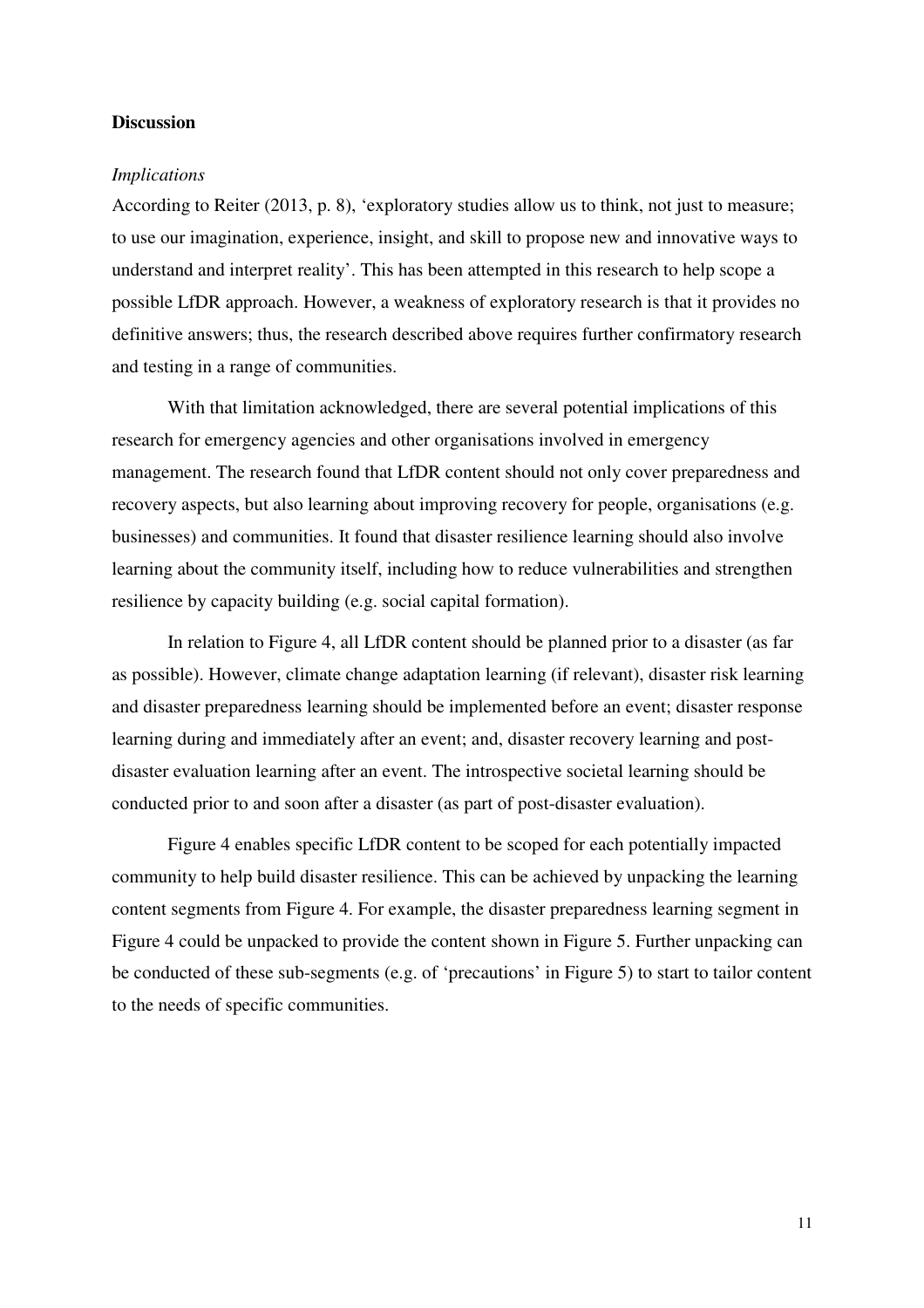#### **Discussion**

#### *Implications*

According to Reiter (2013, p. 8), 'exploratory studies allow us to think, not just to measure; to use our imagination, experience, insight, and skill to propose new and innovative ways to understand and interpret reality'. This has been attempted in this research to help scope a possible LfDR approach. However, a weakness of exploratory research is that it provides no definitive answers; thus, the research described above requires further confirmatory research and testing in a range of communities.

With that limitation acknowledged, there are several potential implications of this research for emergency agencies and other organisations involved in emergency management. The research found that LfDR content should not only cover preparedness and recovery aspects, but also learning about improving recovery for people, organisations (e.g. businesses) and communities. It found that disaster resilience learning should also involve learning about the community itself, including how to reduce vulnerabilities and strengthen resilience by capacity building (e.g. social capital formation).

In relation to Figure 4, all LfDR content should be planned prior to a disaster (as far as possible). However, climate change adaptation learning (if relevant), disaster risk learning and disaster preparedness learning should be implemented before an event; disaster response learning during and immediately after an event; and, disaster recovery learning and postdisaster evaluation learning after an event. The introspective societal learning should be conducted prior to and soon after a disaster (as part of post-disaster evaluation).

Figure 4 enables specific LfDR content to be scoped for each potentially impacted community to help build disaster resilience. This can be achieved by unpacking the learning content segments from Figure 4. For example, the disaster preparedness learning segment in Figure 4 could be unpacked to provide the content shown in Figure 5. Further unpacking can be conducted of these sub-segments (e.g. of 'precautions' in Figure 5) to start to tailor content to the needs of specific communities.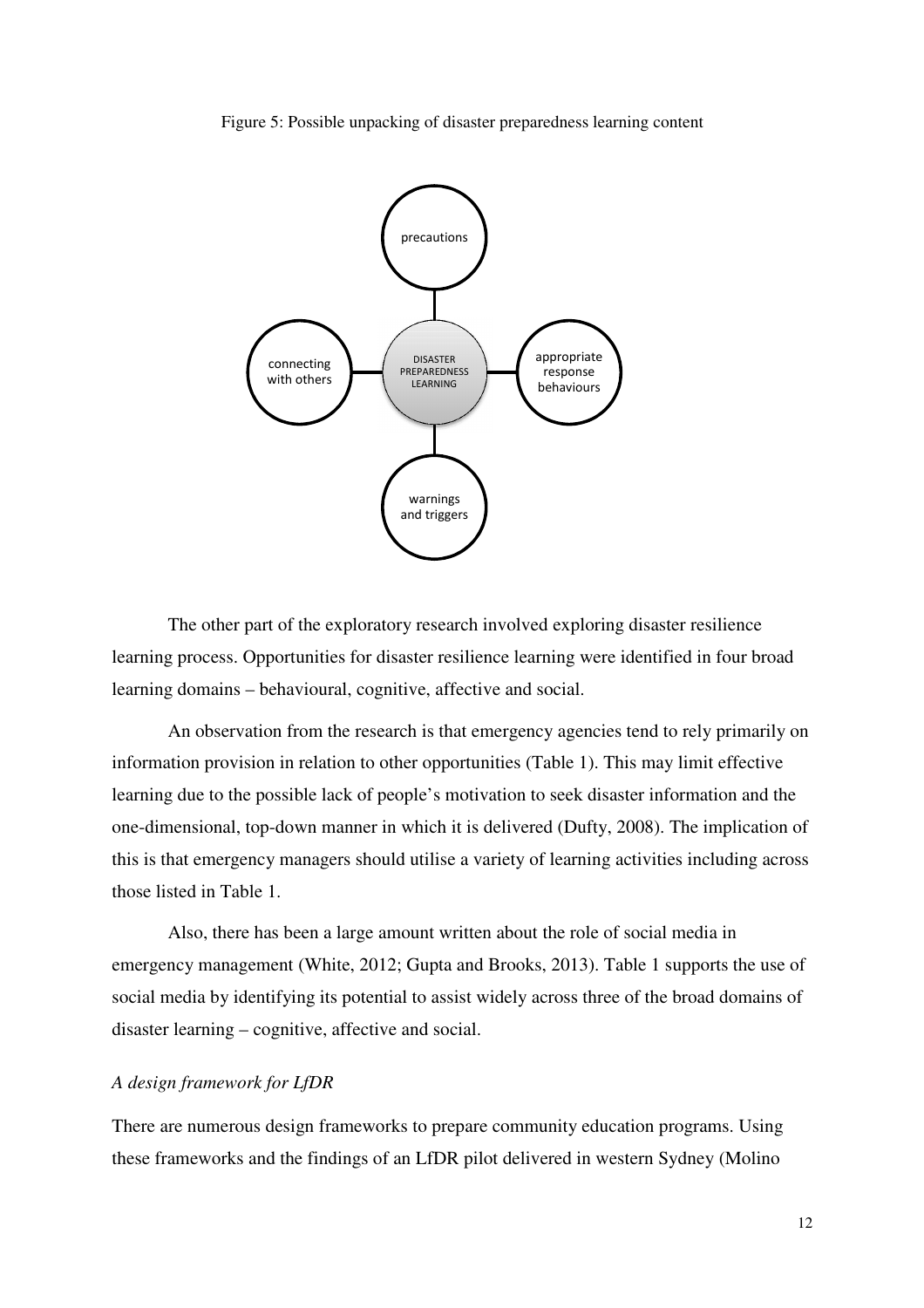



The other part of the exploratory research involved exploring disaster resilience learning process. Opportunities for disaster resilience learning were identified in four broad learning domains – behavioural, cognitive, affective and social.

An observation from the research is that emergency agencies tend to rely primarily on information provision in relation to other opportunities (Table 1). This may limit effective learning due to the possible lack of people's motivation to seek disaster information and the one-dimensional, top-down manner in which it is delivered (Dufty, 2008). The implication of this is that emergency managers should utilise a variety of learning activities including across those listed in Table 1.

Also, there has been a large amount written about the role of social media in emergency management (White, 2012; Gupta and Brooks, 2013). Table 1 supports the use of social media by identifying its potential to assist widely across three of the broad domains of disaster learning – cognitive, affective and social.

#### *A design framework for LfDR*

There are numerous design frameworks to prepare community education programs. Using these frameworks and the findings of an LfDR pilot delivered in western Sydney (Molino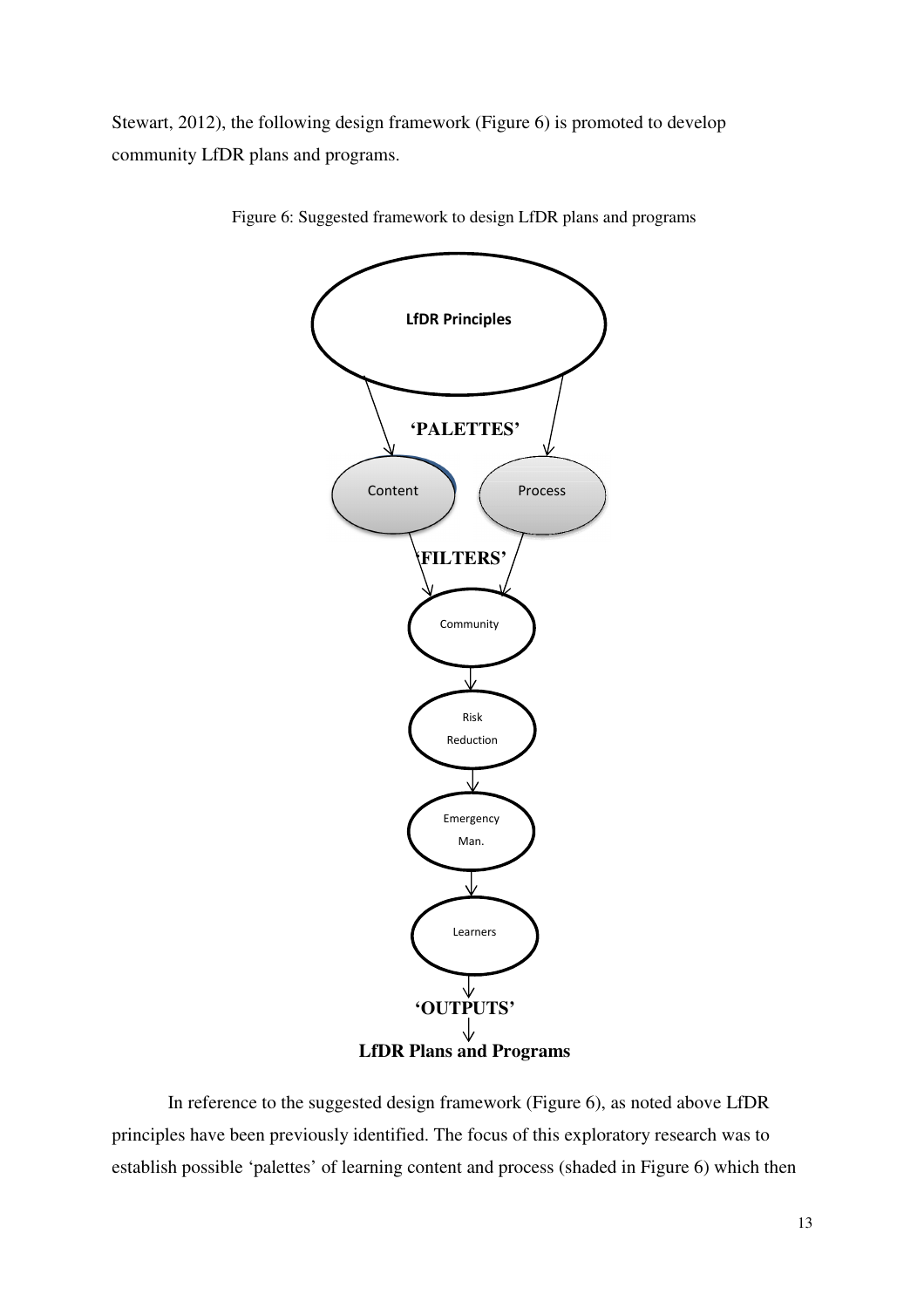Stewart, 2012), the following design framework (Figure 6) is promoted to develop community LfDR plans and programs.



Figure 6: Suggested framework to design LfDR plans and programs

In reference to the suggested design framework (Figure 6), as noted above LfDR principles have been previously identified. The focus of this exploratory research was to establish possible 'palettes' of learning content and process (shaded in Figure 6) which then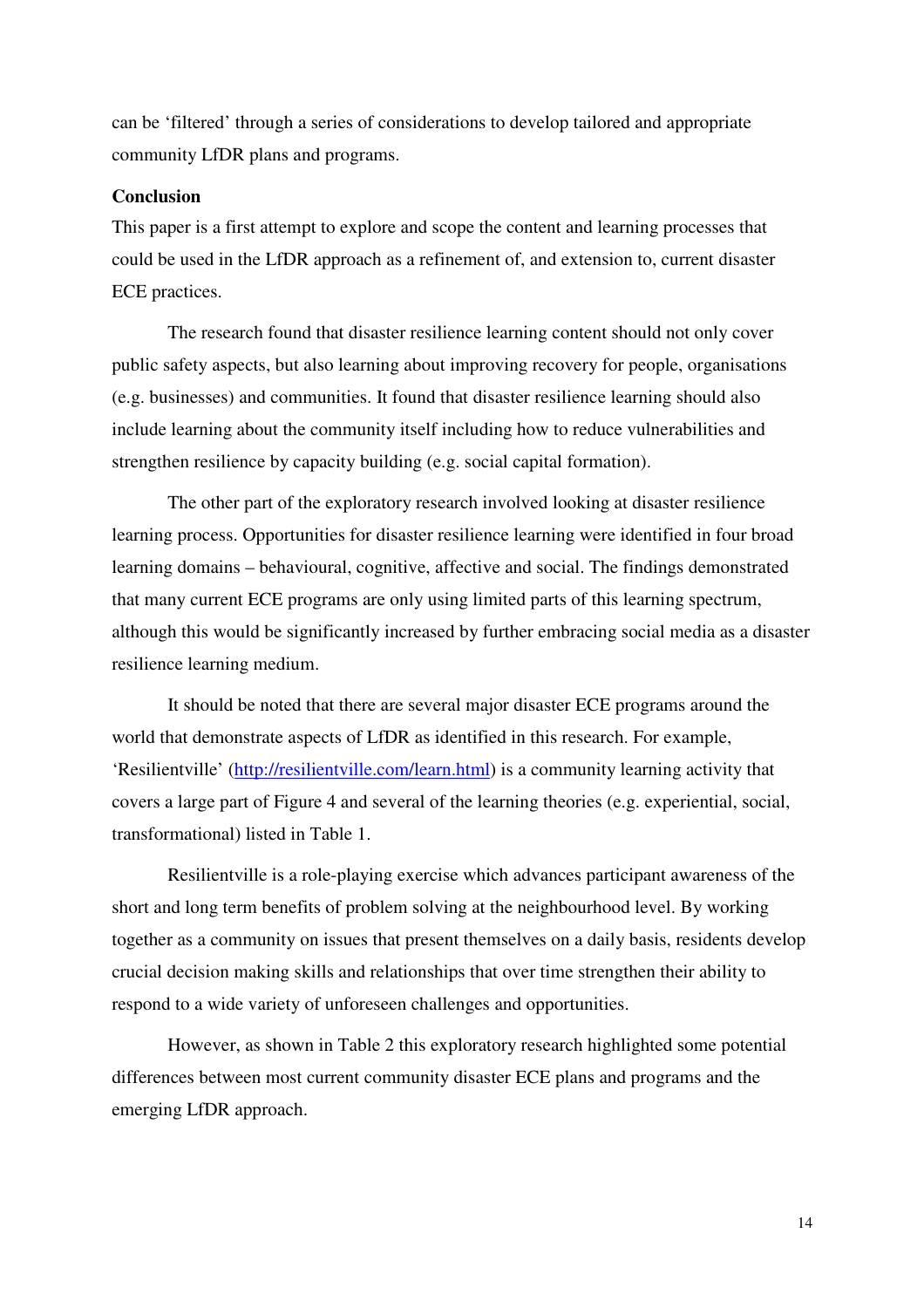can be 'filtered' through a series of considerations to develop tailored and appropriate community LfDR plans and programs.

## **Conclusion**

This paper is a first attempt to explore and scope the content and learning processes that could be used in the LfDR approach as a refinement of, and extension to, current disaster ECE practices.

The research found that disaster resilience learning content should not only cover public safety aspects, but also learning about improving recovery for people, organisations (e.g. businesses) and communities. It found that disaster resilience learning should also include learning about the community itself including how to reduce vulnerabilities and strengthen resilience by capacity building (e.g. social capital formation).

The other part of the exploratory research involved looking at disaster resilience learning process. Opportunities for disaster resilience learning were identified in four broad learning domains – behavioural, cognitive, affective and social. The findings demonstrated that many current ECE programs are only using limited parts of this learning spectrum, although this would be significantly increased by further embracing social media as a disaster resilience learning medium.

It should be noted that there are several major disaster ECE programs around the world that demonstrate aspects of LfDR as identified in this research. For example, 'Resilientville' (http://resilientville.com/learn.html) is a community learning activity that covers a large part of Figure 4 and several of the learning theories (e.g. experiential, social, transformational) listed in Table 1.

Resilientville is a role-playing exercise which advances participant awareness of the short and long term benefits of problem solving at the neighbourhood level. By working together as a community on issues that present themselves on a daily basis, residents develop crucial decision making skills and relationships that over time strengthen their ability to respond to a wide variety of unforeseen challenges and opportunities.

However, as shown in Table 2 this exploratory research highlighted some potential differences between most current community disaster ECE plans and programs and the emerging LfDR approach.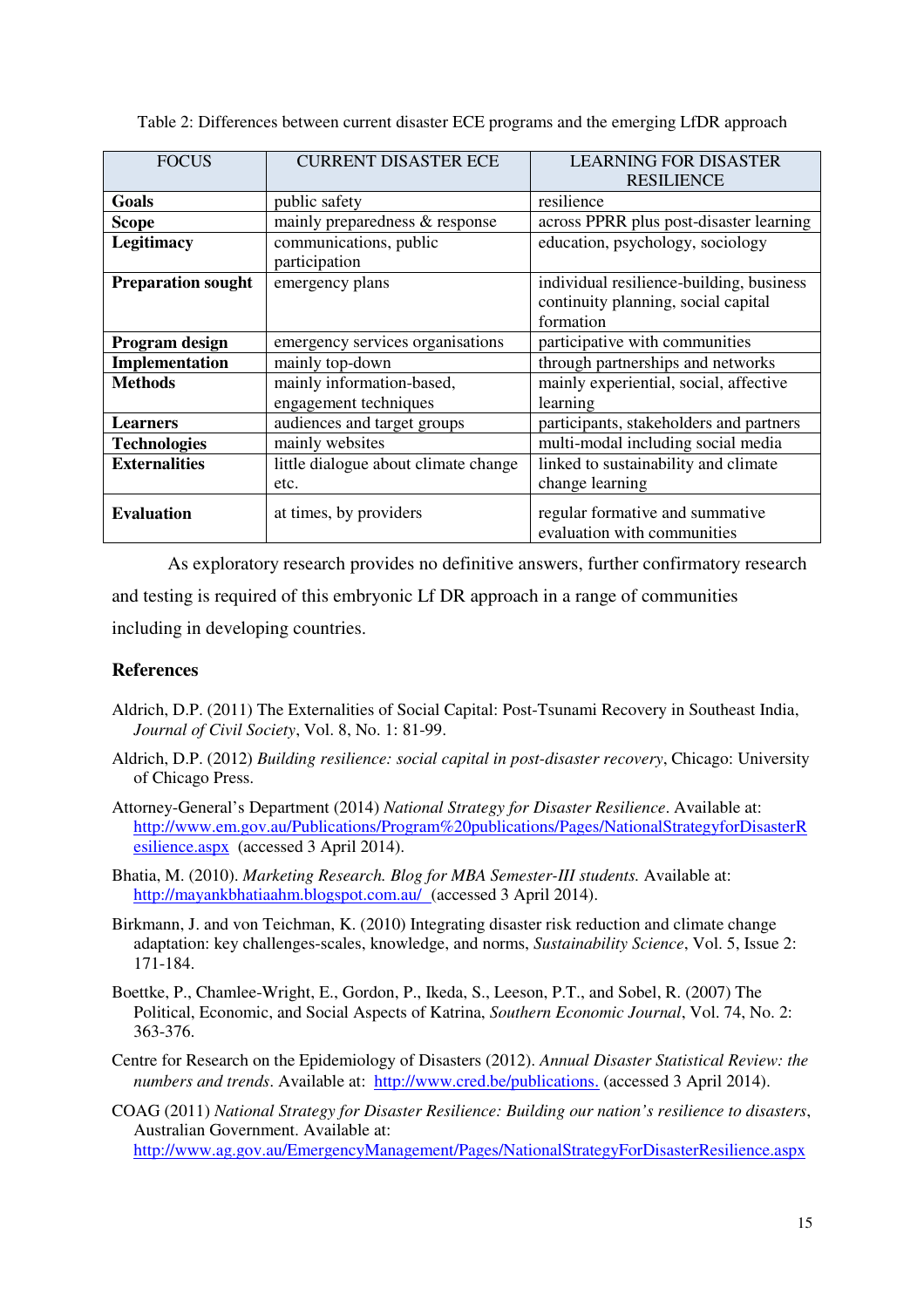| <b>FOCUS</b>              | <b>CURRENT DISASTER ECE</b>                        | <b>LEARNING FOR DISASTER</b><br><b>RESILIENCE</b>                                            |
|---------------------------|----------------------------------------------------|----------------------------------------------------------------------------------------------|
| Goals                     | public safety                                      | resilience                                                                                   |
| <b>Scope</b>              | mainly preparedness & response                     | across PPRR plus post-disaster learning                                                      |
| <b>Legitimacy</b>         | communications, public<br>participation            | education, psychology, sociology                                                             |
| <b>Preparation sought</b> | emergency plans                                    | individual resilience-building, business<br>continuity planning, social capital<br>formation |
| Program design            | emergency services organisations                   | participative with communities                                                               |
| Implementation            | mainly top-down                                    | through partnerships and networks                                                            |
| <b>Methods</b>            | mainly information-based,<br>engagement techniques | mainly experiential, social, affective<br>learning                                           |
| <b>Learners</b>           | audiences and target groups                        | participants, stakeholders and partners                                                      |
| <b>Technologies</b>       | mainly websites                                    | multi-modal including social media                                                           |
| <b>Externalities</b>      | little dialogue about climate change               | linked to sustainability and climate                                                         |
|                           | etc.                                               | change learning                                                                              |
| <b>Evaluation</b>         | at times, by providers                             | regular formative and summative<br>evaluation with communities                               |

Table 2: Differences between current disaster ECE programs and the emerging LfDR approach

As exploratory research provides no definitive answers, further confirmatory research and testing is required of this embryonic Lf DR approach in a range of communities including in developing countries.

## **References**

- Aldrich, D.P. (2011) The Externalities of Social Capital: Post-Tsunami Recovery in Southeast India, *Journal of Civil Society*, Vol. 8, No. 1: 81-99.
- Aldrich, D.P. (2012) *Building resilience: social capital in post-disaster recovery*, Chicago: University of Chicago Press.
- Attorney-General's Department (2014) *National Strategy for Disaster Resilience*. Available at: http://www.em.gov.au/Publications/Program%20publications/Pages/NationalStrategyforDisasterR esilience.aspx (accessed 3 April 2014).
- Bhatia, M. (2010). *Marketing Research. Blog for MBA Semester-III students.* Available at: http://mayankbhatiaahm.blogspot.com.au/ (accessed 3 April 2014).
- Birkmann, J. and von Teichman, K. (2010) Integrating disaster risk reduction and climate change adaptation: key challenges-scales, knowledge, and norms, *Sustainability Science*, Vol. 5, Issue 2: 171-184.
- Boettke, P., Chamlee-Wright, E., Gordon, P., Ikeda, S., Leeson, P.T., and Sobel, R. (2007) The Political, Economic, and Social Aspects of Katrina, *Southern Economic Journal*, Vol. 74, No. 2: 363-376.
- Centre for Research on the Epidemiology of Disasters (2012). *Annual Disaster Statistical Review: the numbers and trends*. Available at: http://www.cred.be/publications. (accessed 3 April 2014).
- COAG (2011) *National Strategy for Disaster Resilience: Building our nation's resilience to disasters*, Australian Government. Available at: http://www.ag.gov.au/EmergencyManagement/Pages/NationalStrategyForDisasterResilience.aspx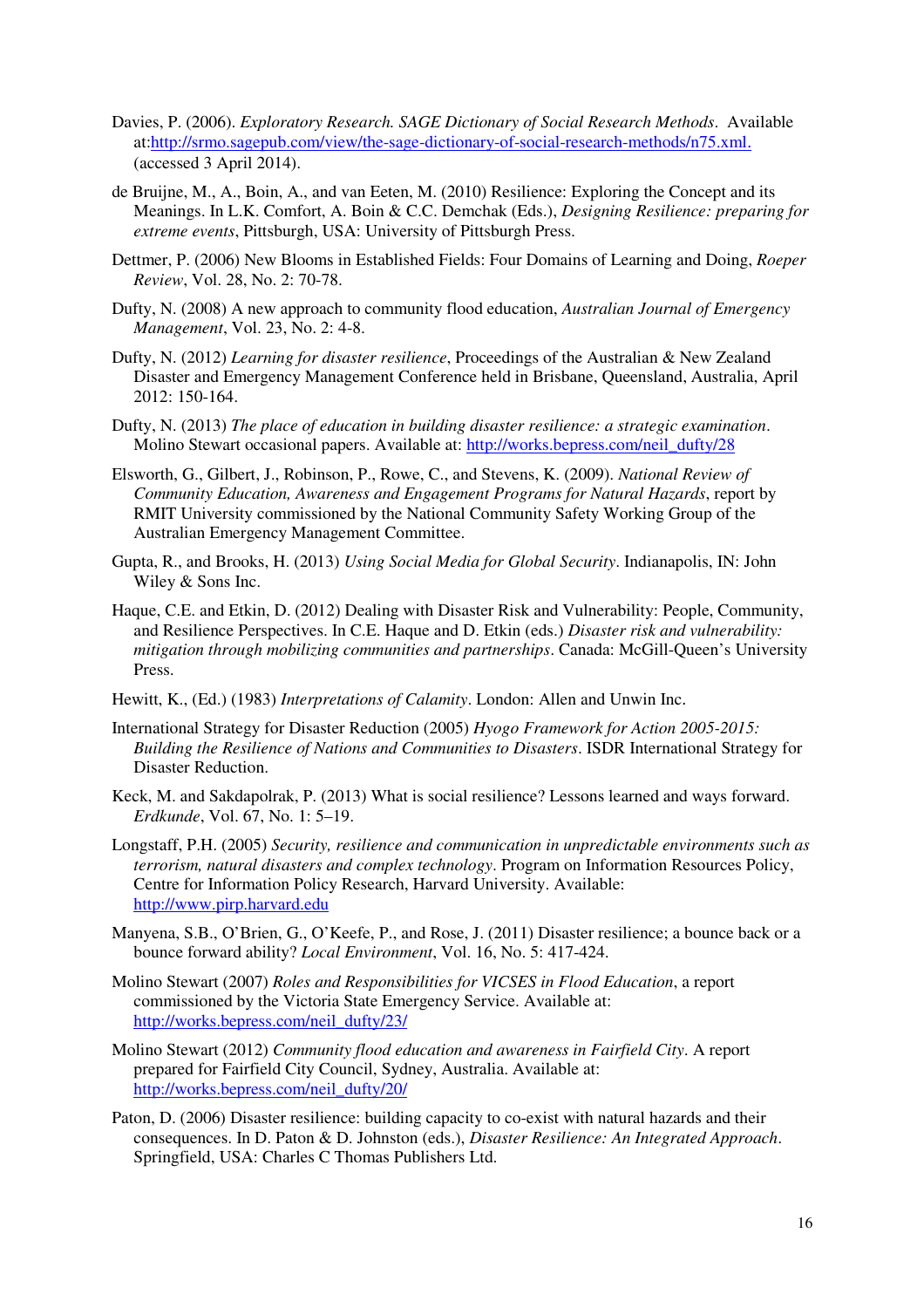- Davies, P. (2006). *Exploratory Research. SAGE Dictionary of Social Research Methods*. Available at:http://srmo.sagepub.com/view/the-sage-dictionary-of-social-research-methods/n75.xml. (accessed 3 April 2014).
- de Bruijne, M., A., Boin, A., and van Eeten, M. (2010) Resilience: Exploring the Concept and its Meanings. In L.K. Comfort, A. Boin & C.C. Demchak (Eds.), *Designing Resilience: preparing for extreme events*, Pittsburgh, USA: University of Pittsburgh Press.
- Dettmer, P. (2006) New Blooms in Established Fields: Four Domains of Learning and Doing, *Roeper Review*, Vol. 28, No. 2: 70-78.
- Dufty, N. (2008) A new approach to community flood education, *Australian Journal of Emergency Management*, Vol. 23, No. 2: 4-8.
- Dufty, N. (2012) *Learning for disaster resilience*, Proceedings of the Australian & New Zealand Disaster and Emergency Management Conference held in Brisbane, Queensland, Australia, April 2012: 150-164.
- Dufty, N. (2013) *The place of education in building disaster resilience: a strategic examination*. Molino Stewart occasional papers. Available at: http://works.bepress.com/neil\_dufty/28
- Elsworth, G., Gilbert, J., Robinson, P., Rowe, C., and Stevens, K. (2009). *National Review of Community Education, Awareness and Engagement Programs for Natural Hazards*, report by RMIT University commissioned by the National Community Safety Working Group of the Australian Emergency Management Committee.
- Gupta, R., and Brooks, H. (2013) *Using Social Media for Global Security*. Indianapolis, IN: John Wiley & Sons Inc.
- Haque, C.E. and Etkin, D. (2012) Dealing with Disaster Risk and Vulnerability: People, Community, and Resilience Perspectives. In C.E. Haque and D. Etkin (eds.) *Disaster risk and vulnerability: mitigation through mobilizing communities and partnerships*. Canada: McGill-Queen's University Press.
- Hewitt, K., (Ed.) (1983) *Interpretations of Calamity*. London: Allen and Unwin Inc.
- International Strategy for Disaster Reduction (2005) *Hyogo Framework for Action 2005-2015: Building the Resilience of Nations and Communities to Disasters*. ISDR International Strategy for Disaster Reduction.
- Keck, M. and Sakdapolrak, P. (2013) What is social resilience? Lessons learned and ways forward. *Erdkunde*, Vol. 67, No. 1: 5–19.
- Longstaff, P.H. (2005) *Security, resilience and communication in unpredictable environments such as terrorism, natural disasters and complex technology*. Program on Information Resources Policy, Centre for Information Policy Research, Harvard University. Available: http://www.pirp.harvard.edu
- Manyena, S.B., O'Brien, G., O'Keefe, P., and Rose, J. (2011) Disaster resilience; a bounce back or a bounce forward ability? *Local Environment*, Vol. 16, No. 5: 417-424.
- Molino Stewart (2007) *Roles and Responsibilities for VICSES in Flood Education*, a report commissioned by the Victoria State Emergency Service. Available at: http://works.bepress.com/neil\_dufty/23/
- Molino Stewart (2012) *Community flood education and awareness in Fairfield City*. A report prepared for Fairfield City Council, Sydney, Australia. Available at: http://works.bepress.com/neil\_dufty/20/
- Paton, D. (2006) Disaster resilience: building capacity to co-exist with natural hazards and their consequences. In D. Paton & D. Johnston (eds.), *Disaster Resilience: An Integrated Approach*. Springfield, USA: Charles C Thomas Publishers Ltd.